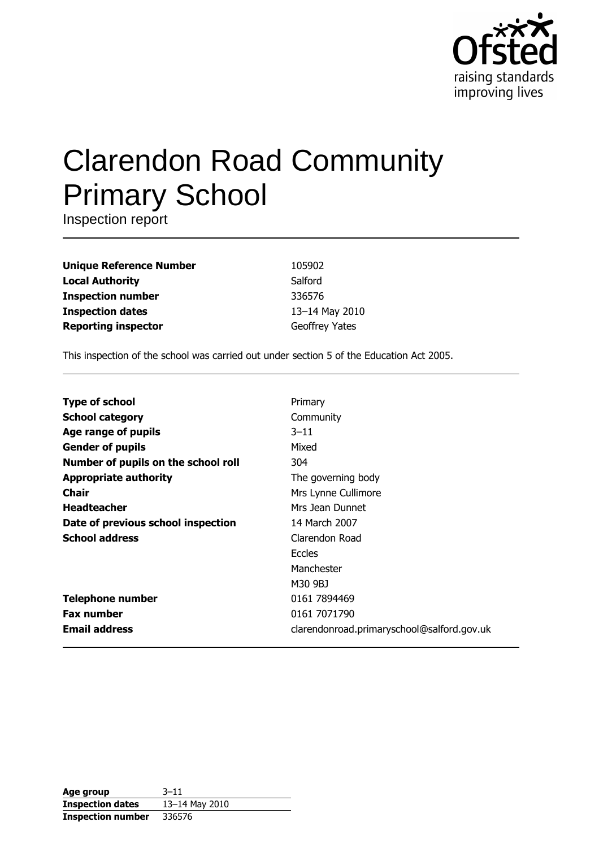

# **Clarendon Road Community Primary School**

Inspection report

**Unique Reference Number Local Authority Inspection number Inspection dates Reporting inspector** 

105902 Salford 336576 13-14 May 2010 Geoffrey Yates

This inspection of the school was carried out under section 5 of the Education Act 2005.

| <b>Type of school</b>               | Primary                                    |
|-------------------------------------|--------------------------------------------|
|                                     |                                            |
| <b>School category</b>              | Community                                  |
| Age range of pupils                 | $3 - 11$                                   |
| <b>Gender of pupils</b>             | Mixed                                      |
| Number of pupils on the school roll | 304                                        |
| <b>Appropriate authority</b>        | The governing body                         |
| Chair                               | Mrs Lynne Cullimore                        |
| <b>Headteacher</b>                  | Mrs Jean Dunnet                            |
| Date of previous school inspection  | 14 March 2007                              |
| <b>School address</b>               | Clarendon Road                             |
|                                     | <b>Eccles</b>                              |
|                                     | Manchester                                 |
|                                     | M30 9BJ                                    |
| <b>Telephone number</b>             | 0161 7894469                               |
| <b>Fax number</b>                   | 0161 7071790                               |
| <b>Email address</b>                | clarendonroad.primaryschool@salford.gov.uk |

| Age group                | $3 - 11$       |
|--------------------------|----------------|
| <b>Inspection dates</b>  | 13-14 May 2010 |
| <b>Inspection number</b> | 336576         |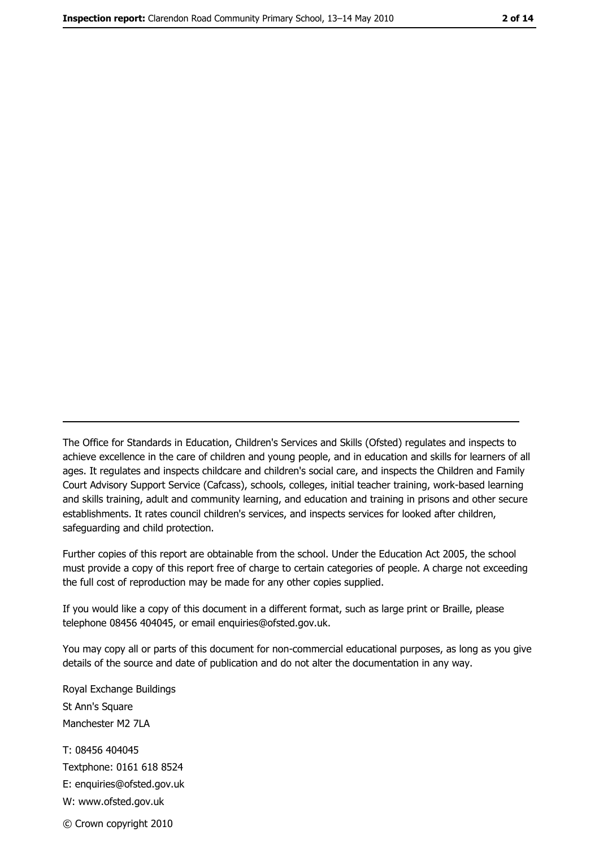The Office for Standards in Education, Children's Services and Skills (Ofsted) regulates and inspects to achieve excellence in the care of children and young people, and in education and skills for learners of all ages. It regulates and inspects childcare and children's social care, and inspects the Children and Family Court Advisory Support Service (Cafcass), schools, colleges, initial teacher training, work-based learning and skills training, adult and community learning, and education and training in prisons and other secure establishments. It rates council children's services, and inspects services for looked after children, safequarding and child protection.

Further copies of this report are obtainable from the school. Under the Education Act 2005, the school must provide a copy of this report free of charge to certain categories of people. A charge not exceeding the full cost of reproduction may be made for any other copies supplied.

If you would like a copy of this document in a different format, such as large print or Braille, please telephone 08456 404045, or email enquiries@ofsted.gov.uk.

You may copy all or parts of this document for non-commercial educational purposes, as long as you give details of the source and date of publication and do not alter the documentation in any way.

Royal Exchange Buildings St Ann's Square Manchester M2 7LA T: 08456 404045 Textphone: 0161 618 8524 E: enquiries@ofsted.gov.uk W: www.ofsted.gov.uk © Crown copyright 2010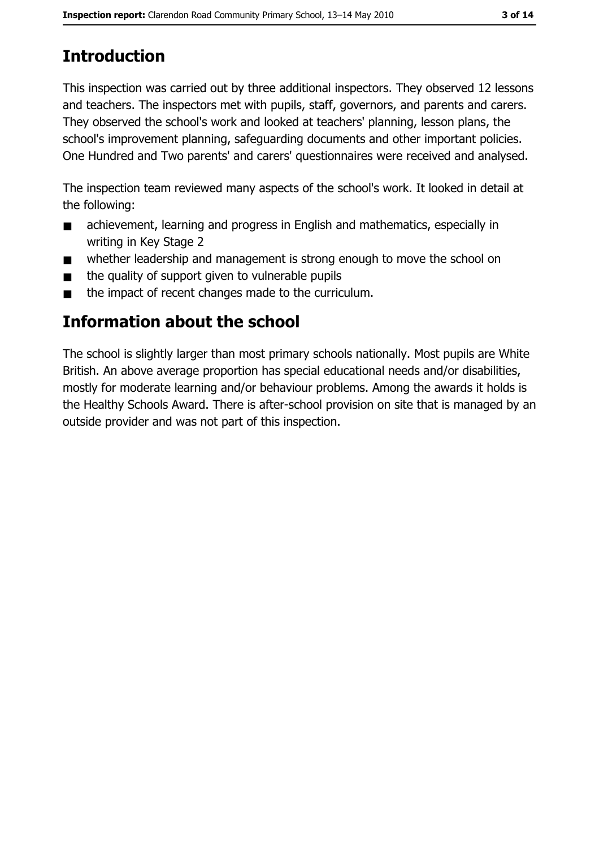# **Introduction**

This inspection was carried out by three additional inspectors. They observed 12 lessons and teachers. The inspectors met with pupils, staff, governors, and parents and carers. They observed the school's work and looked at teachers' planning, lesson plans, the school's improvement planning, safeguarding documents and other important policies. One Hundred and Two parents' and carers' questionnaires were received and analysed.

The inspection team reviewed many aspects of the school's work. It looked in detail at the following:

- achievement, learning and progress in English and mathematics, especially in  $\blacksquare$ writing in Key Stage 2
- whether leadership and management is strong enough to move the school on  $\blacksquare$
- the quality of support given to vulnerable pupils  $\blacksquare$
- the impact of recent changes made to the curriculum.  $\blacksquare$

# **Information about the school**

The school is slightly larger than most primary schools nationally. Most pupils are White British. An above average proportion has special educational needs and/or disabilities, mostly for moderate learning and/or behaviour problems. Among the awards it holds is the Healthy Schools Award. There is after-school provision on site that is managed by an outside provider and was not part of this inspection.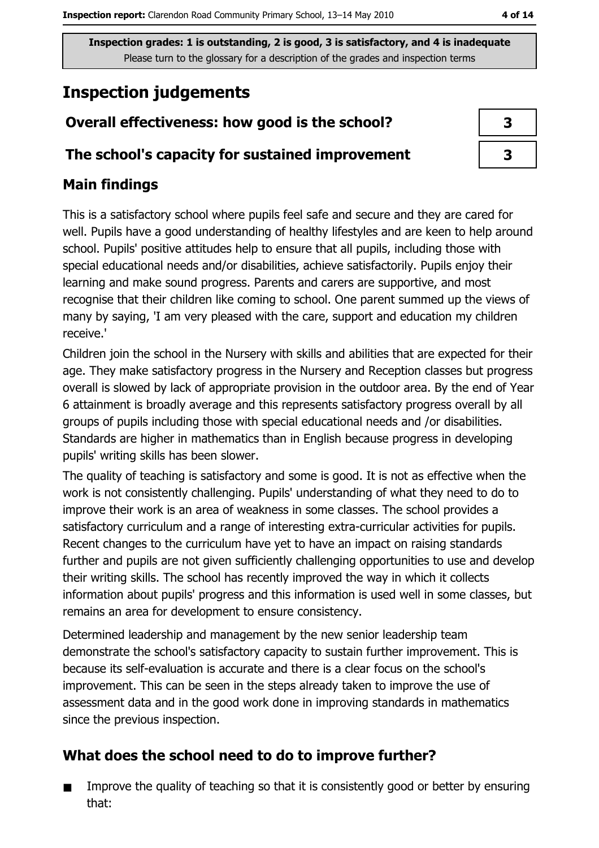# **Inspection judgements**

## Overall effectiveness: how good is the school?

#### The school's capacity for sustained improvement

## **Main findings**

This is a satisfactory school where pupils feel safe and secure and they are cared for well. Pupils have a good understanding of healthy lifestyles and are keen to help around school. Pupils' positive attitudes help to ensure that all pupils, including those with special educational needs and/or disabilities, achieve satisfactorily. Pupils enjoy their learning and make sound progress. Parents and carers are supportive, and most recognise that their children like coming to school. One parent summed up the views of many by saying, 'I am very pleased with the care, support and education my children receive.'

Children join the school in the Nursery with skills and abilities that are expected for their age. They make satisfactory progress in the Nursery and Reception classes but progress overall is slowed by lack of appropriate provision in the outdoor area. By the end of Year 6 attainment is broadly average and this represents satisfactory progress overall by all groups of pupils including those with special educational needs and /or disabilities. Standards are higher in mathematics than in English because progress in developing pupils' writing skills has been slower.

The quality of teaching is satisfactory and some is good. It is not as effective when the work is not consistently challenging. Pupils' understanding of what they need to do to improve their work is an area of weakness in some classes. The school provides a satisfactory curriculum and a range of interesting extra-curricular activities for pupils. Recent changes to the curriculum have yet to have an impact on raising standards further and pupils are not given sufficiently challenging opportunities to use and develop their writing skills. The school has recently improved the way in which it collects information about pupils' progress and this information is used well in some classes, but remains an area for development to ensure consistency.

Determined leadership and management by the new senior leadership team demonstrate the school's satisfactory capacity to sustain further improvement. This is because its self-evaluation is accurate and there is a clear focus on the school's improvement. This can be seen in the steps already taken to improve the use of assessment data and in the good work done in improving standards in mathematics since the previous inspection.

## What does the school need to do to improve further?

Improve the quality of teaching so that it is consistently good or better by ensuring  $\blacksquare$ that: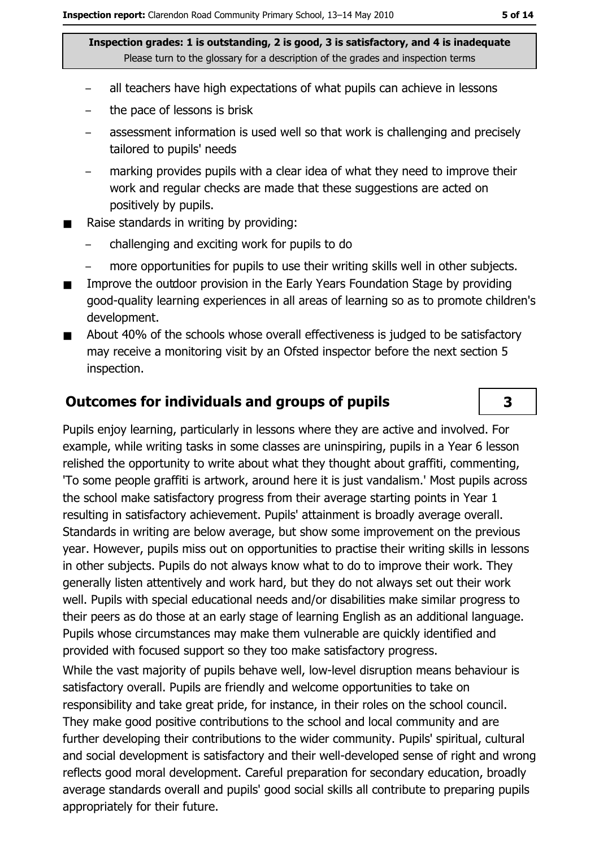- all teachers have high expectations of what pupils can achieve in lessons
- the pace of lessons is brisk  $\equiv$
- assessment information is used well so that work is challenging and precisely tailored to pupils' needs
- marking provides pupils with a clear idea of what they need to improve their work and regular checks are made that these suggestions are acted on positively by pupils.
- Raise standards in writing by providing:  $\blacksquare$ 
	- challenging and exciting work for pupils to do
	- more opportunities for pupils to use their writing skills well in other subjects.
- Improve the outdoor provision in the Early Years Foundation Stage by providing good-quality learning experiences in all areas of learning so as to promote children's development.
- About 40% of the schools whose overall effectiveness is judged to be satisfactory  $\blacksquare$ may receive a monitoring visit by an Ofsted inspector before the next section 5 inspection.

#### **Outcomes for individuals and groups of pupils**

Pupils enjoy learning, particularly in lessons where they are active and involved. For example, while writing tasks in some classes are uninspiring, pupils in a Year 6 lesson relished the opportunity to write about what they thought about graffiti, commenting, 'To some people graffiti is artwork, around here it is just vandalism.' Most pupils across the school make satisfactory progress from their average starting points in Year 1 resulting in satisfactory achievement. Pupils' attainment is broadly average overall. Standards in writing are below average, but show some improvement on the previous year. However, pupils miss out on opportunities to practise their writing skills in lessons in other subjects. Pupils do not always know what to do to improve their work. They generally listen attentively and work hard, but they do not always set out their work well. Pupils with special educational needs and/or disabilities make similar progress to their peers as do those at an early stage of learning English as an additional language. Pupils whose circumstances may make them vulnerable are quickly identified and provided with focused support so they too make satisfactory progress.

While the vast majority of pupils behave well, low-level disruption means behaviour is satisfactory overall. Pupils are friendly and welcome opportunities to take on responsibility and take great pride, for instance, in their roles on the school council. They make good positive contributions to the school and local community and are further developing their contributions to the wider community. Pupils' spiritual, cultural and social development is satisfactory and their well-developed sense of right and wrong reflects good moral development. Careful preparation for secondary education, broadly average standards overall and pupils' good social skills all contribute to preparing pupils appropriately for their future.

3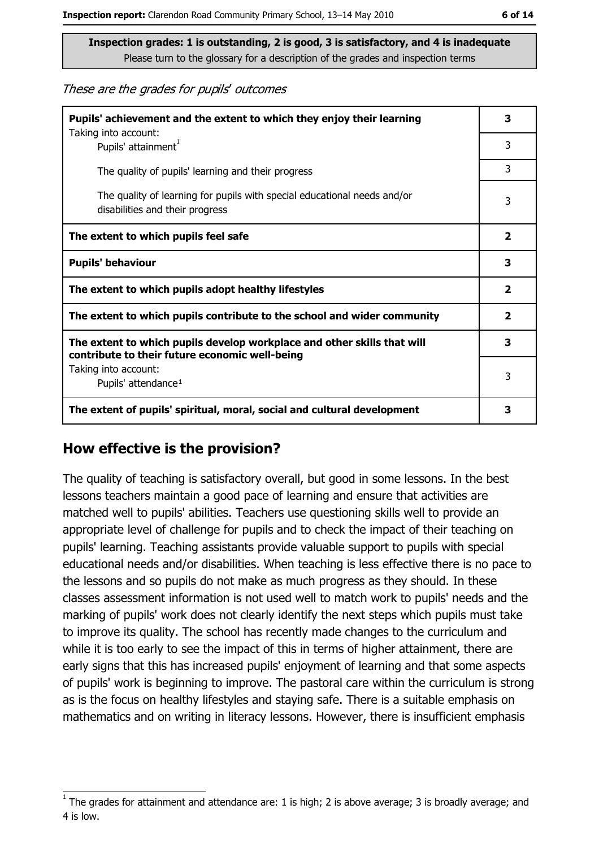These are the grades for pupils' outcomes

| Pupils' achievement and the extent to which they enjoy their learning                                                     |   |
|---------------------------------------------------------------------------------------------------------------------------|---|
| Taking into account:<br>Pupils' attainment <sup>1</sup>                                                                   | 3 |
| The quality of pupils' learning and their progress                                                                        | 3 |
| The quality of learning for pupils with special educational needs and/or<br>disabilities and their progress               |   |
| The extent to which pupils feel safe                                                                                      |   |
| <b>Pupils' behaviour</b>                                                                                                  |   |
| The extent to which pupils adopt healthy lifestyles                                                                       |   |
| The extent to which pupils contribute to the school and wider community                                                   |   |
| The extent to which pupils develop workplace and other skills that will<br>contribute to their future economic well-being |   |
| Taking into account:<br>Pupils' attendance <sup>1</sup>                                                                   |   |
| The extent of pupils' spiritual, moral, social and cultural development                                                   |   |

#### How effective is the provision?

The quality of teaching is satisfactory overall, but good in some lessons. In the best lessons teachers maintain a good pace of learning and ensure that activities are matched well to pupils' abilities. Teachers use questioning skills well to provide an appropriate level of challenge for pupils and to check the impact of their teaching on pupils' learning. Teaching assistants provide valuable support to pupils with special educational needs and/or disabilities. When teaching is less effective there is no pace to the lessons and so pupils do not make as much progress as they should. In these classes assessment information is not used well to match work to pupils' needs and the marking of pupils' work does not clearly identify the next steps which pupils must take to improve its quality. The school has recently made changes to the curriculum and while it is too early to see the impact of this in terms of higher attainment, there are early signs that this has increased pupils' enjoyment of learning and that some aspects of pupils' work is beginning to improve. The pastoral care within the curriculum is strong as is the focus on healthy lifestyles and staying safe. There is a suitable emphasis on mathematics and on writing in literacy lessons. However, there is insufficient emphasis

The grades for attainment and attendance are: 1 is high; 2 is above average; 3 is broadly average; and 4 is low.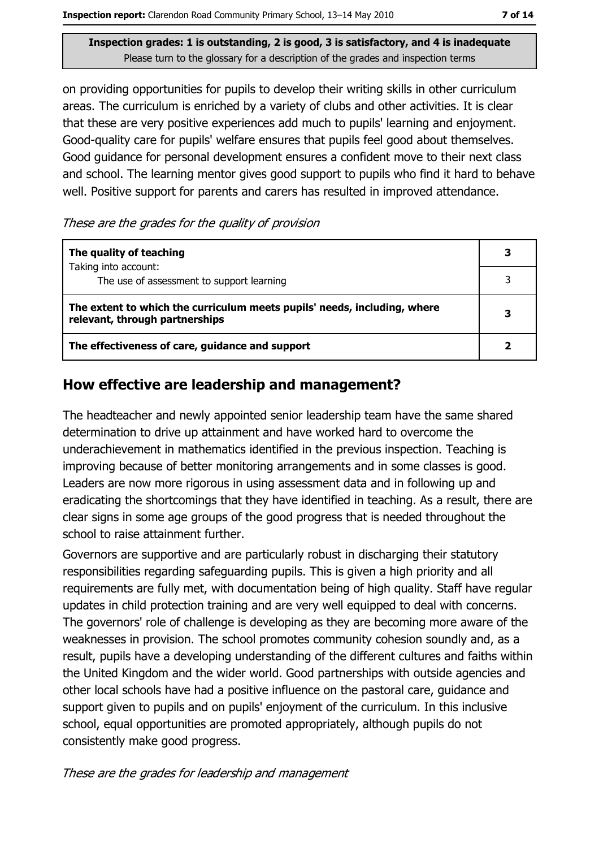Inspection report: Clarendon Road Community Primary School, 13-14 May 2010

Inspection grades: 1 is outstanding, 2 is good, 3 is satisfactory, and 4 is inadequate Please turn to the glossary for a description of the grades and inspection terms

on providing opportunities for pupils to develop their writing skills in other curriculum areas. The curriculum is enriched by a variety of clubs and other activities. It is clear that these are very positive experiences add much to pupils' learning and enjoyment. Good-quality care for pupils' welfare ensures that pupils feel good about themselves. Good guidance for personal development ensures a confident move to their next class and school. The learning mentor gives good support to pupils who find it hard to behave well. Positive support for parents and carers has resulted in improved attendance.

These are the grades for the quality of provision

| The quality of teaching                                                                                    |  |
|------------------------------------------------------------------------------------------------------------|--|
| Taking into account:<br>The use of assessment to support learning                                          |  |
| The extent to which the curriculum meets pupils' needs, including, where<br>relevant, through partnerships |  |
| The effectiveness of care, guidance and support                                                            |  |

### How effective are leadership and management?

The headteacher and newly appointed senior leadership team have the same shared determination to drive up attainment and have worked hard to overcome the underachievement in mathematics identified in the previous inspection. Teaching is improving because of better monitoring arrangements and in some classes is good. Leaders are now more rigorous in using assessment data and in following up and eradicating the shortcomings that they have identified in teaching. As a result, there are clear signs in some age groups of the good progress that is needed throughout the school to raise attainment further.

Governors are supportive and are particularly robust in discharging their statutory responsibilities regarding safeguarding pupils. This is given a high priority and all requirements are fully met, with documentation being of high quality. Staff have regular updates in child protection training and are very well equipped to deal with concerns. The governors' role of challenge is developing as they are becoming more aware of the weaknesses in provision. The school promotes community cohesion soundly and, as a result, pupils have a developing understanding of the different cultures and faiths within the United Kingdom and the wider world. Good partnerships with outside agencies and other local schools have had a positive influence on the pastoral care, guidance and support given to pupils and on pupils' enjoyment of the curriculum. In this inclusive school, equal opportunities are promoted appropriately, although pupils do not consistently make good progress.

These are the grades for leadership and management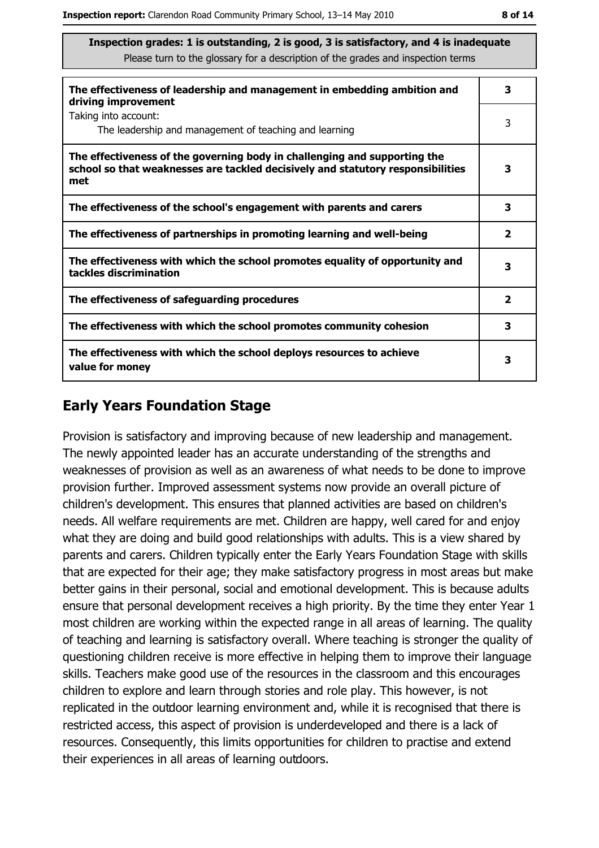| The effectiveness of leadership and management in embedding ambition and<br>driving improvement                                                                     |                         |  |
|---------------------------------------------------------------------------------------------------------------------------------------------------------------------|-------------------------|--|
| Taking into account:<br>The leadership and management of teaching and learning                                                                                      | 3                       |  |
| The effectiveness of the governing body in challenging and supporting the<br>school so that weaknesses are tackled decisively and statutory responsibilities<br>met | 3                       |  |
| The effectiveness of the school's engagement with parents and carers                                                                                                | 3                       |  |
| The effectiveness of partnerships in promoting learning and well-being                                                                                              | $\overline{\mathbf{2}}$ |  |
| The effectiveness with which the school promotes equality of opportunity and<br>tackles discrimination                                                              |                         |  |
| The effectiveness of safeguarding procedures                                                                                                                        | $\overline{\mathbf{2}}$ |  |
| The effectiveness with which the school promotes community cohesion                                                                                                 | 3                       |  |
| The effectiveness with which the school deploys resources to achieve<br>value for money                                                                             |                         |  |

## **Early Years Foundation Stage**

Provision is satisfactory and improving because of new leadership and management. The newly appointed leader has an accurate understanding of the strengths and weaknesses of provision as well as an awareness of what needs to be done to improve provision further. Improved assessment systems now provide an overall picture of children's development. This ensures that planned activities are based on children's needs. All welfare requirements are met. Children are happy, well cared for and enjoy what they are doing and build good relationships with adults. This is a view shared by parents and carers. Children typically enter the Early Years Foundation Stage with skills that are expected for their age; they make satisfactory progress in most areas but make better gains in their personal, social and emotional development. This is because adults ensure that personal development receives a high priority. By the time they enter Year 1 most children are working within the expected range in all areas of learning. The quality of teaching and learning is satisfactory overall. Where teaching is stronger the quality of questioning children receive is more effective in helping them to improve their language skills. Teachers make good use of the resources in the classroom and this encourages children to explore and learn through stories and role play. This however, is not replicated in the outdoor learning environment and, while it is recognised that there is restricted access, this aspect of provision is underdeveloped and there is a lack of resources. Consequently, this limits opportunities for children to practise and extend their experiences in all areas of learning outdoors.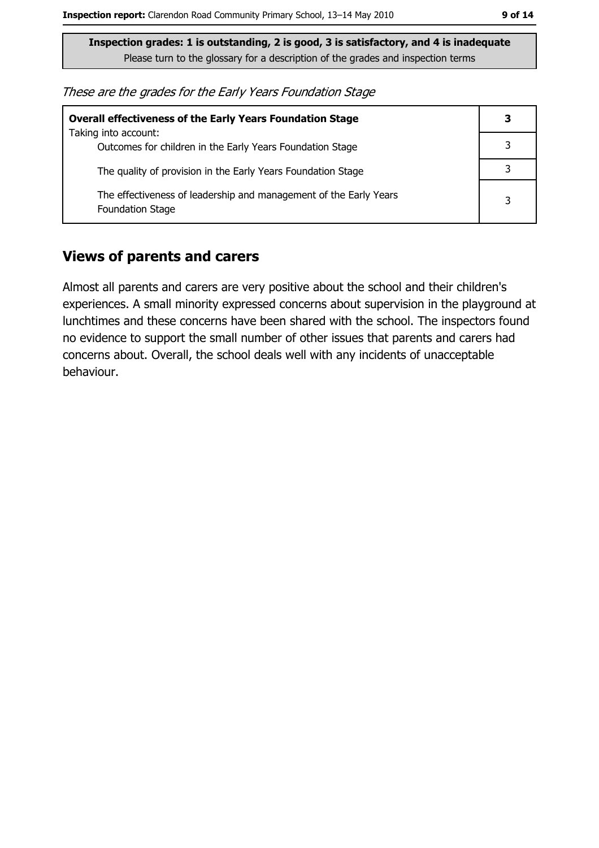These are the grades for the Early Years Foundation Stage

| <b>Overall effectiveness of the Early Years Foundation Stage</b>                             |   |  |
|----------------------------------------------------------------------------------------------|---|--|
| Taking into account:<br>Outcomes for children in the Early Years Foundation Stage            |   |  |
| The quality of provision in the Early Years Foundation Stage                                 |   |  |
| The effectiveness of leadership and management of the Early Years<br><b>Foundation Stage</b> | 3 |  |

#### **Views of parents and carers**

Almost all parents and carers are very positive about the school and their children's experiences. A small minority expressed concerns about supervision in the playground at lunchtimes and these concerns have been shared with the school. The inspectors found no evidence to support the small number of other issues that parents and carers had concerns about. Overall, the school deals well with any incidents of unacceptable behaviour.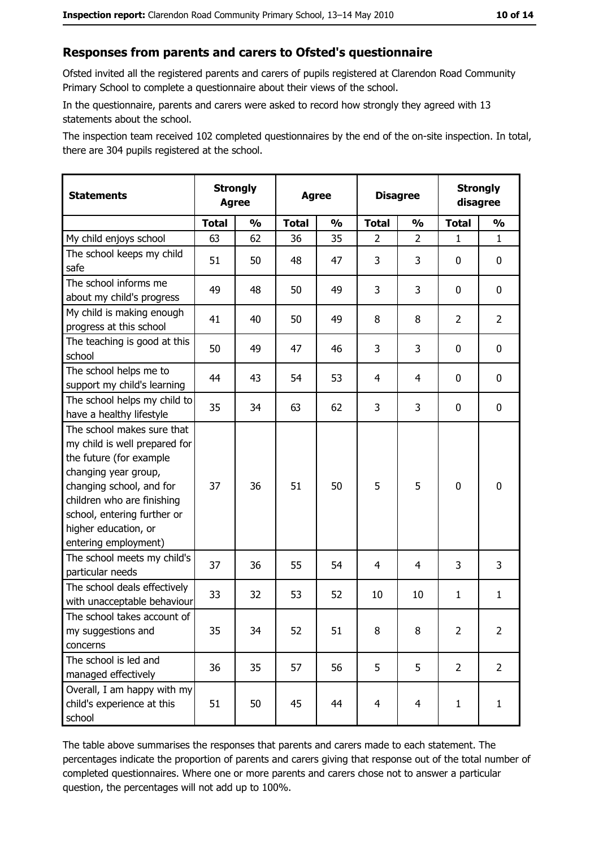#### Responses from parents and carers to Ofsted's questionnaire

Ofsted invited all the registered parents and carers of pupils registered at Clarendon Road Community Primary School to complete a questionnaire about their views of the school.

In the questionnaire, parents and carers were asked to record how strongly they agreed with 13 statements about the school.

The inspection team received 102 completed questionnaires by the end of the on-site inspection. In total, there are 304 pupils registered at the school.

| <b>Statements</b>                                                                                                                                                                                                                                       | <b>Strongly</b><br><b>Agree</b> |               | <b>Agree</b> |               | <b>Disagree</b> |                | <b>Strongly</b><br>disagree |                  |
|---------------------------------------------------------------------------------------------------------------------------------------------------------------------------------------------------------------------------------------------------------|---------------------------------|---------------|--------------|---------------|-----------------|----------------|-----------------------------|------------------|
|                                                                                                                                                                                                                                                         | <b>Total</b>                    | $\frac{0}{0}$ | <b>Total</b> | $\frac{0}{0}$ | <b>Total</b>    | $\frac{1}{2}$  | <b>Total</b>                | $\frac{0}{0}$    |
| My child enjoys school                                                                                                                                                                                                                                  | 63                              | 62            | 36           | 35            | $\overline{2}$  | $\overline{2}$ | $\mathbf{1}$                | $\mathbf{1}$     |
| The school keeps my child<br>safe                                                                                                                                                                                                                       | 51                              | 50            | 48           | 47            | 3               | 3              | 0                           | $\mathbf 0$      |
| The school informs me<br>about my child's progress                                                                                                                                                                                                      | 49                              | 48            | 50           | 49            | 3               | 3              | 0                           | 0                |
| My child is making enough<br>progress at this school                                                                                                                                                                                                    | 41                              | 40            | 50           | 49            | 8               | 8              | $\overline{2}$              | $\overline{2}$   |
| The teaching is good at this<br>school                                                                                                                                                                                                                  | 50                              | 49            | 47           | 46            | 3               | 3              | 0                           | 0                |
| The school helps me to<br>support my child's learning                                                                                                                                                                                                   | 44                              | 43            | 54           | 53            | 4               | 4              | 0                           | $\mathbf 0$      |
| The school helps my child to<br>have a healthy lifestyle                                                                                                                                                                                                | 35                              | 34            | 63           | 62            | 3               | 3              | 0                           | $\mathbf 0$      |
| The school makes sure that<br>my child is well prepared for<br>the future (for example<br>changing year group,<br>changing school, and for<br>children who are finishing<br>school, entering further or<br>higher education, or<br>entering employment) | 37                              | 36            | 51           | 50            | 5               | 5              | $\mathbf 0$                 | $\boldsymbol{0}$ |
| The school meets my child's<br>particular needs                                                                                                                                                                                                         | 37                              | 36            | 55           | 54            | 4               | 4              | 3                           | 3                |
| The school deals effectively<br>with unacceptable behaviour                                                                                                                                                                                             | 33                              | 32            | 53           | 52            | 10              | 10             | $\mathbf{1}$                | $\mathbf{1}$     |
| The school takes account of<br>my suggestions and<br>concerns                                                                                                                                                                                           | 35                              | 34            | 52           | 51            | 8               | 8              | $\overline{2}$              | $\overline{2}$   |
| The school is led and<br>managed effectively                                                                                                                                                                                                            | 36                              | 35            | 57           | 56            | 5               | 5              | $\overline{2}$              | $\overline{2}$   |
| Overall, I am happy with my<br>child's experience at this<br>school                                                                                                                                                                                     | 51                              | 50            | 45           | 44            | $\overline{4}$  | $\overline{4}$ | $\mathbf{1}$                | $\mathbf{1}$     |

The table above summarises the responses that parents and carers made to each statement. The percentages indicate the proportion of parents and carers giving that response out of the total number of completed questionnaires. Where one or more parents and carers chose not to answer a particular question, the percentages will not add up to 100%.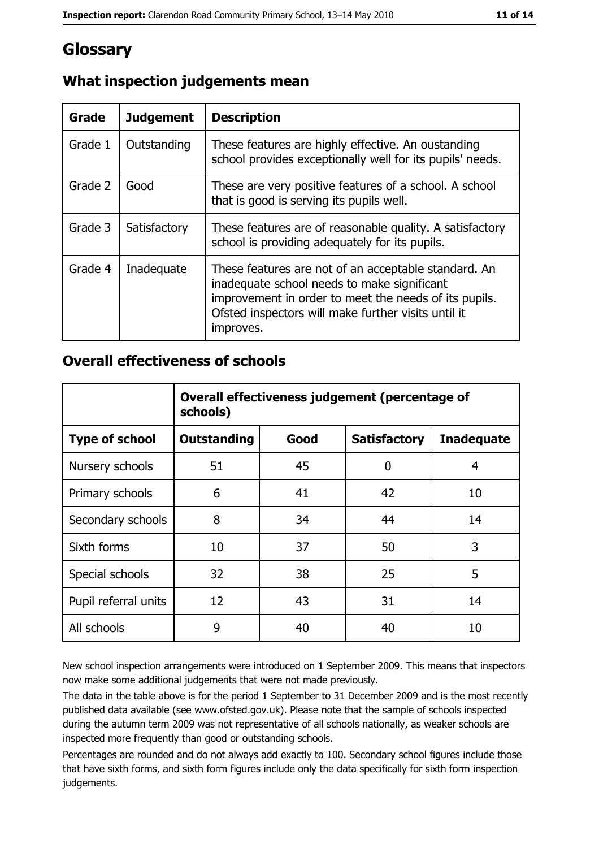# Glossary

| <b>Grade</b> | <b>Judgement</b> | <b>Description</b>                                                                                                                                                                                                               |  |
|--------------|------------------|----------------------------------------------------------------------------------------------------------------------------------------------------------------------------------------------------------------------------------|--|
| Grade 1      | Outstanding      | These features are highly effective. An oustanding<br>school provides exceptionally well for its pupils' needs.                                                                                                                  |  |
| Grade 2      | Good             | These are very positive features of a school. A school<br>that is good is serving its pupils well.                                                                                                                               |  |
| Grade 3      | Satisfactory     | These features are of reasonable quality. A satisfactory<br>school is providing adequately for its pupils.                                                                                                                       |  |
| Grade 4      | Inadequate       | These features are not of an acceptable standard. An<br>inadequate school needs to make significant<br>improvement in order to meet the needs of its pupils.<br>Ofsted inspectors will make further visits until it<br>improves. |  |

## What inspection judgements mean

#### **Overall effectiveness of schools**

|                       | Overall effectiveness judgement (percentage of<br>schools) |      |                     |                   |
|-----------------------|------------------------------------------------------------|------|---------------------|-------------------|
| <b>Type of school</b> | <b>Outstanding</b>                                         | Good | <b>Satisfactory</b> | <b>Inadequate</b> |
| Nursery schools       | 51                                                         | 45   | 0                   | 4                 |
| Primary schools       | 6                                                          | 41   | 42                  | 10                |
| Secondary schools     | 8                                                          | 34   | 44                  | 14                |
| Sixth forms           | 10                                                         | 37   | 50                  | 3                 |
| Special schools       | 32                                                         | 38   | 25                  | 5                 |
| Pupil referral units  | 12                                                         | 43   | 31                  | 14                |
| All schools           | 9                                                          | 40   | 40                  | 10                |

New school inspection arrangements were introduced on 1 September 2009. This means that inspectors now make some additional judgements that were not made previously.

The data in the table above is for the period 1 September to 31 December 2009 and is the most recently published data available (see www.ofsted.gov.uk). Please note that the sample of schools inspected during the autumn term 2009 was not representative of all schools nationally, as weaker schools are inspected more frequently than good or outstanding schools.

Percentages are rounded and do not always add exactly to 100. Secondary school figures include those that have sixth forms, and sixth form figures include only the data specifically for sixth form inspection judgements.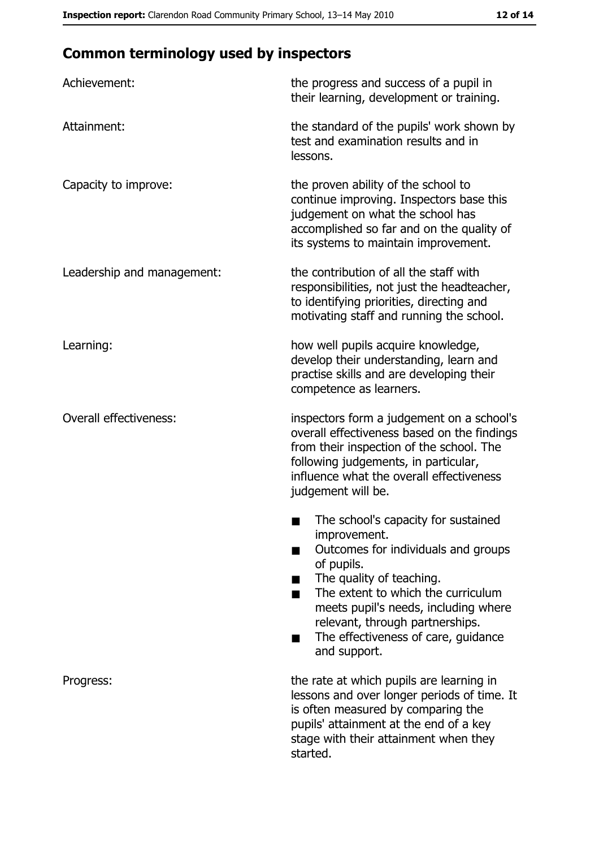# **Common terminology used by inspectors**

| Achievement:                  | the progress and success of a pupil in<br>their learning, development or training.                                                                                                                                                                                                                           |
|-------------------------------|--------------------------------------------------------------------------------------------------------------------------------------------------------------------------------------------------------------------------------------------------------------------------------------------------------------|
| Attainment:                   | the standard of the pupils' work shown by<br>test and examination results and in<br>lessons.                                                                                                                                                                                                                 |
| Capacity to improve:          | the proven ability of the school to<br>continue improving. Inspectors base this<br>judgement on what the school has<br>accomplished so far and on the quality of<br>its systems to maintain improvement.                                                                                                     |
| Leadership and management:    | the contribution of all the staff with<br>responsibilities, not just the headteacher,<br>to identifying priorities, directing and<br>motivating staff and running the school.                                                                                                                                |
| Learning:                     | how well pupils acquire knowledge,<br>develop their understanding, learn and<br>practise skills and are developing their<br>competence as learners.                                                                                                                                                          |
| <b>Overall effectiveness:</b> | inspectors form a judgement on a school's<br>overall effectiveness based on the findings<br>from their inspection of the school. The<br>following judgements, in particular,<br>influence what the overall effectiveness<br>judgement will be.                                                               |
|                               | The school's capacity for sustained<br>improvement.<br>Outcomes for individuals and groups<br>of pupils.<br>The quality of teaching.<br>The extent to which the curriculum<br>meets pupil's needs, including where<br>relevant, through partnerships.<br>The effectiveness of care, guidance<br>and support. |
| Progress:                     | the rate at which pupils are learning in<br>lessons and over longer periods of time. It<br>is often measured by comparing the<br>pupils' attainment at the end of a key<br>stage with their attainment when they<br>started.                                                                                 |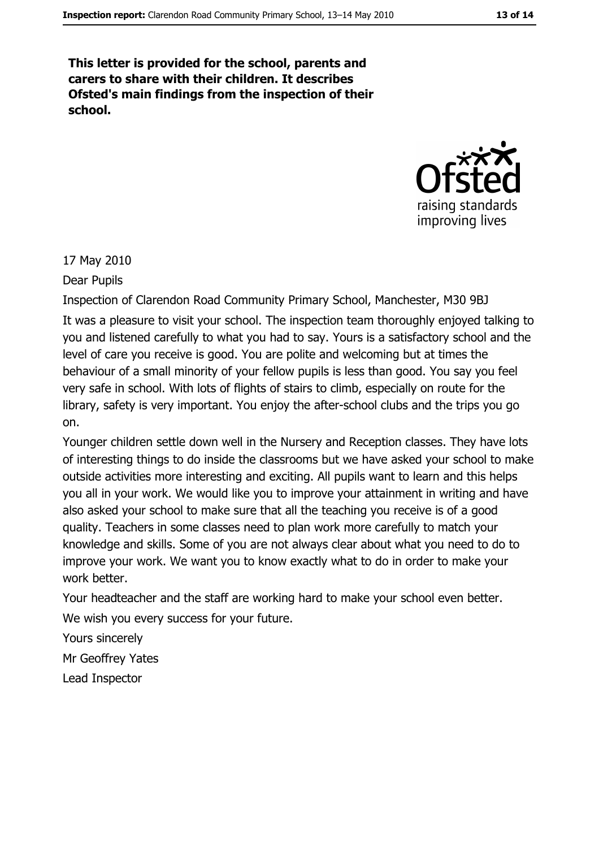This letter is provided for the school, parents and carers to share with their children. It describes Ofsted's main findings from the inspection of their school.



17 May 2010

Dear Pupils

Inspection of Clarendon Road Community Primary School, Manchester, M30 9BJ It was a pleasure to visit your school. The inspection team thoroughly enjoyed talking to you and listened carefully to what you had to say. Yours is a satisfactory school and the level of care you receive is good. You are polite and welcoming but at times the behaviour of a small minority of your fellow pupils is less than good. You say you feel very safe in school. With lots of flights of stairs to climb, especially on route for the library, safety is very important. You enjoy the after-school clubs and the trips you go on.

Younger children settle down well in the Nursery and Reception classes. They have lots of interesting things to do inside the classrooms but we have asked your school to make outside activities more interesting and exciting. All pupils want to learn and this helps you all in your work. We would like you to improve your attainment in writing and have also asked your school to make sure that all the teaching you receive is of a good quality. Teachers in some classes need to plan work more carefully to match your knowledge and skills. Some of you are not always clear about what you need to do to improve your work. We want you to know exactly what to do in order to make your work better.

Your headteacher and the staff are working hard to make your school even better. We wish you every success for your future.

Yours sincerely

Mr Geoffrev Yates

Lead Inspector